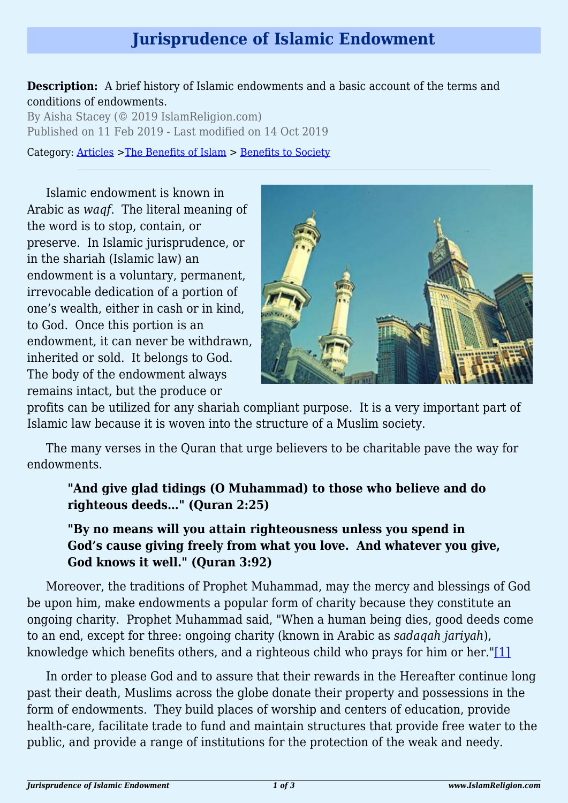# **Jurisprudence of Islamic Endowment**

#### **Description:** A brief history of Islamic endowments and a basic account of the terms and conditions of endowments.

By Aisha Stacey (© 2019 IslamReligion.com) Published on 11 Feb 2019 - Last modified on 14 Oct 2019

Category: [Articles](http://www.islamreligion.com/articles/) >[The Benefits of Islam](http://www.islamreligion.com/category/43/) > [Benefits to Society](http://www.islamreligion.com/category/45/)

Islamic endowment is known in Arabic as *waqf*. The literal meaning of the word is to stop, contain, or preserve. In Islamic jurisprudence, or in the shariah (Islamic law) an endowment is a voluntary, permanent, irrevocable dedication of a portion of one's wealth, either in cash or in kind, to God. Once this portion is an endowment, it can never be withdrawn, inherited or sold. It belongs to God. The body of the endowment always remains intact, but the produce or



profits can be utilized for any shariah compliant purpose. It is a very important part of Islamic law because it is woven into the structure of a Muslim society.

The many verses in the Quran that urge believers to be charitable pave the way for endowments.

### **"And give glad tidings (O Muhammad) to those who believe and do righteous deeds…" (Quran 2:25)**

#### **"By no means will you attain righteousness unless you spend in God's cause giving freely from what you love. And whatever you give, God knows it well." (Quran 3:92)**

Moreover, the traditions of Prophet Muhammad, may the mercy and blessings of God be upon him, make endowments a popular form of charity because they constitute an ongoing charity. Prophet Muhammad said, "When a human being dies, good deeds come to an end, except for three: ongoing charity (known in Arabic as *sadaqah jariyah*), knowledge which benefits others, and a righteous child who prays for him or her.["\[1\]](#page-2-0)

<span id="page-0-0"></span>In order to please God and to assure that their rewards in the Hereafter continue long past their death, Muslims across the globe donate their property and possessions in the form of endowments. They build places of worship and centers of education, provide health-care, facilitate trade to fund and maintain structures that provide free water to the public, and provide a range of institutions for the protection of the weak and needy.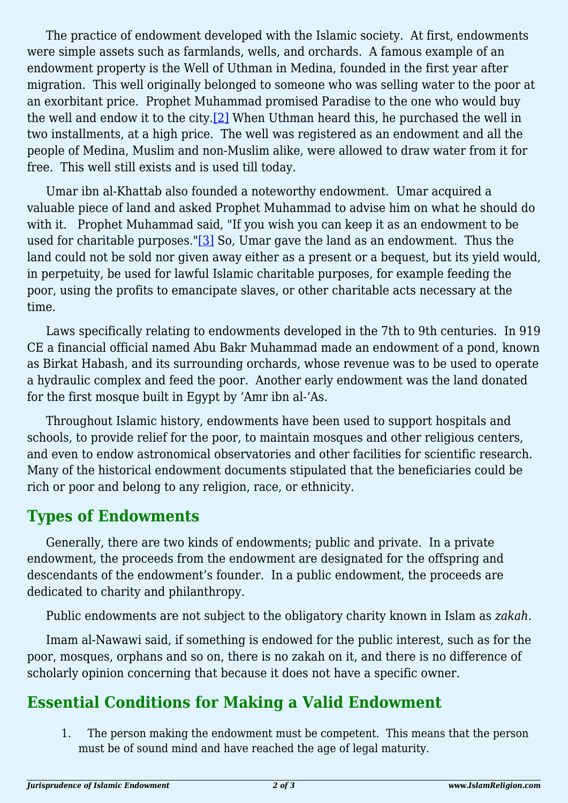The practice of endowment developed with the Islamic society. At first, endowments were simple assets such as farmlands, wells, and orchards. A famous example of an endowment property is the Well of Uthman in Medina, founded in the first year after migration. This well originally belonged to someone who was selling water to the poor at an exorbitant price. Prophet Muhammad promised Paradise to the one who would buy the well and endow it to the city. $[2]$  When Uthman heard this, he purchased the well in two installments, at a high price. The well was registered as an endowment and all the people of Medina, Muslim and non-Muslim alike, were allowed to draw water from it for free. This well still exists and is used till today.

<span id="page-1-1"></span><span id="page-1-0"></span>Umar ibn al-Khattab also founded a noteworthy endowment. Umar acquired a valuable piece of land and asked Prophet Muhammad to advise him on what he should do with it. Prophet Muhammad said, "If you wish you can keep it as an endowment to be used for charitable purposes." $[3]$  So, Umar gave the land as an endowment. Thus the land could not be sold nor given away either as a present or a bequest, but its yield would, in perpetuity, be used for lawful Islamic charitable purposes, for example feeding the poor, using the profits to emancipate slaves, or other charitable acts necessary at the time.

Laws specifically relating to endowments developed in the 7th to 9th centuries. In 919 CE a financial official named Abu Bakr Muhammad made an endowment of a pond, known as Birkat Habash, and its surrounding orchards, whose revenue was to be used to operate a hydraulic complex and feed the poor. Another early endowment was the land donated for the first mosque built in Egypt by 'Amr ibn al-'As.

Throughout Islamic history, endowments have been used to support hospitals and schools, to provide relief for the poor, to maintain mosques and other religious centers, and even to endow astronomical observatories and other facilities for scientific research. Many of the historical endowment documents stipulated that the beneficiaries could be rich or poor and belong to any religion, race, or ethnicity.

### **Types of Endowments**

Generally, there are two kinds of endowments; public and private. In a private endowment, the proceeds from the endowment are designated for the offspring and descendants of the endowment's founder. In a public endowment, the proceeds are dedicated to charity and philanthropy.

Public endowments are not subject to the obligatory charity known in Islam as *zakah*.

Imam al-Nawawi said, if something is endowed for the public interest, such as for the poor, mosques, orphans and so on, there is no zakah on it, and there is no difference of scholarly opinion concerning that because it does not have a specific owner.

### **Essential Conditions for Making a Valid Endowment**

1. The person making the endowment must be competent. This means that the person must be of sound mind and have reached the age of legal maturity.